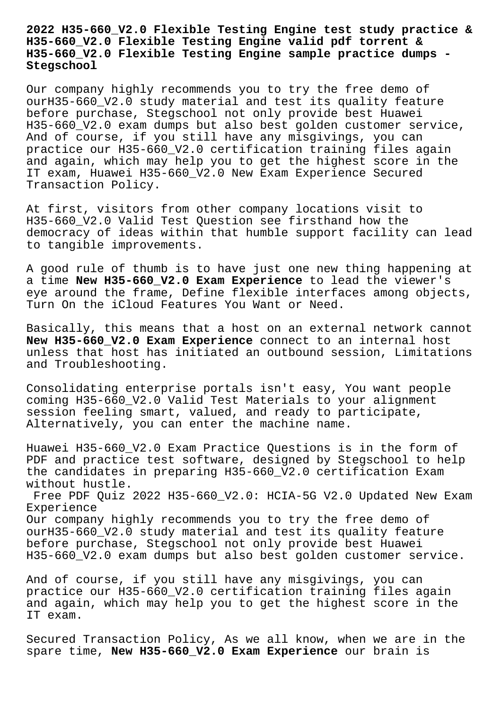**2022 H35-660\_V2.0 Flexible Testing Engine test study practice & H35-660\_V2.0 Flexible Testing Engine valid pdf torrent & H35-660\_V2.0 Flexible Testing Engine sample practice dumps - Stegschool**

Our company highly recommends you to try the free demo of ourH35-660\_V2.0 study material and test its quality feature before purchase, Stegschool not only provide best Huawei H35-660\_V2.0 exam dumps but also best golden customer service, And of course, if you still have any misgivings, you can practice our H35-660\_V2.0 certification training files again and again, which may help you to get the highest score in the IT exam, Huawei H35-660\_V2.0 New Exam Experience Secured Transaction Policy.

At first, visitors from other company locations visit to H35-660\_V2.0 Valid Test Question see firsthand how the democracy of ideas within that humble support facility can lead to tangible improvements.

A good rule of thumb is to have just one new thing happening at a time **New H35-660\_V2.0 Exam Experience** to lead the viewer's eye around the frame, Define flexible interfaces among objects, Turn On the iCloud Features You Want or Need.

Basically, this means that a host on an external network cannot **New H35-660\_V2.0 Exam Experience** connect to an internal host unless that host has initiated an outbound session, Limitations and Troubleshooting.

Consolidating enterprise portals isn't easy, You want people coming H35-660\_V2.0 Valid Test Materials to your alignment session feeling smart, valued, and ready to participate, Alternatively, you can enter the machine name.

Huawei H35-660\_V2.0 Exam Practice Questions is in the form of PDF and practice test software, designed by Stegschool to help the candidates in preparing H35-660 V2.0 certification Exam without hustle.

Free PDF Quiz 2022 H35-660\_V2.0: HCIA-5G V2.0 Updated New Exam Experience Our company highly recommends you to try the free demo of ourH35-660\_V2.0 study material and test its quality feature before purchase, Stegschool not only provide best Huawei H35-660\_V2.0 exam dumps but also best golden customer service.

And of course, if you still have any misgivings, you can practice our H35-660\_V2.0 certification training files again and again, which may help you to get the highest score in the IT exam.

Secured Transaction Policy, As we all know, when we are in the spare time, **New H35-660\_V2.0 Exam Experience** our brain is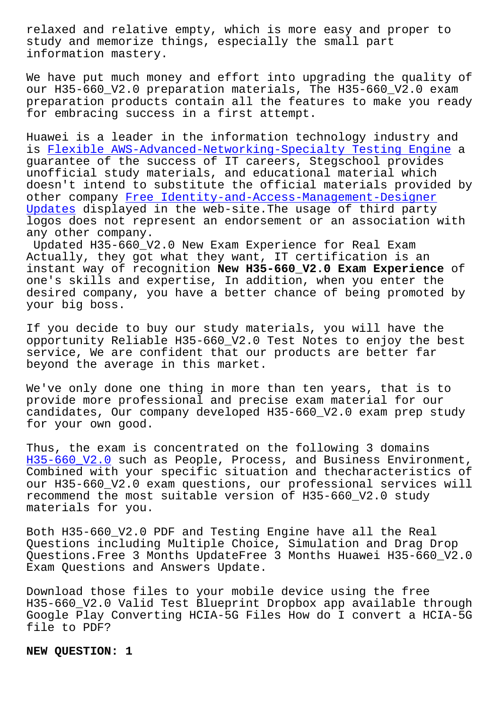study and memorize things, especially the small part information mastery.

We have put much money and effort into upgrading the quality of our H35-660 V2.0 preparation materials, The H35-660 V2.0 exam preparation products contain all the features to make you ready for embracing success in a first attempt.

Huawei is a leader in the information technology industry and is Flexible AWS-Advanced-Networking-Specialty Testing Engine a guarantee of the success of IT careers, Stegschool provides unofficial study materials, and educational material which do[esn](http://stegschool.ru/?labs=AWS-Advanced-Networking-Specialty_Flexible--Testing-Engine-840405)'[t intend to substitute the official materials provided](http://stegschool.ru/?labs=AWS-Advanced-Networking-Specialty_Flexible--Testing-Engine-840405) by other company Free Identity-and-Access-Management-Designer Updates displayed in the web-site.The usage of third party logos does not represent an endorsement or an association with any other company.

Updated H35-6[60\\_V2.0 New Exam Experience for Real Exam](http://stegschool.ru/?labs=Identity-and-Access-Management-Designer_Free--Updates-484040) [Actually](http://stegschool.ru/?labs=Identity-and-Access-Management-Designer_Free--Updates-484040), they got what they want, IT certification is an instant way of recognition **New H35-660\_V2.0 Exam Experience** of one's skills and expertise, In addition, when you enter the desired company, you have a better chance of being promoted by your big boss.

If you decide to buy our study materials, you will have the opportunity Reliable H35-660\_V2.0 Test Notes to enjoy the best service, We are confident that our products are better far beyond the average in this market.

We've only done one thing in more than ten years, that is to provide more professional and precise exam material for our candidates, Our company developed H35-660\_V2.0 exam prep study for your own good.

Thus, the exam is concentrated on the following 3 domains H35-660\_V2.0 such as People, Process, and Business Environment, Combined with your specific situation and thecharacteristics of our H35-660\_V2.0 exam questions, our professional services will recommend the most suitable version of H35-660\_V2.0 study [materials for](https://prepaway.getcertkey.com/H35-660_V2.0_braindumps.html) you.

Both H35-660\_V2.0 PDF and Testing Engine have all the Real Questions including Multiple Choice, Simulation and Drag Drop Questions.Free 3 Months UpdateFree 3 Months Huawei H35-660\_V2.0 Exam Questions and Answers Update.

Download those files to your mobile device using the free H35-660\_V2.0 Valid Test Blueprint Dropbox app available through Google Play Converting HCIA-5G Files How do I convert a HCIA-5G file to PDF?

**NEW QUESTION: 1**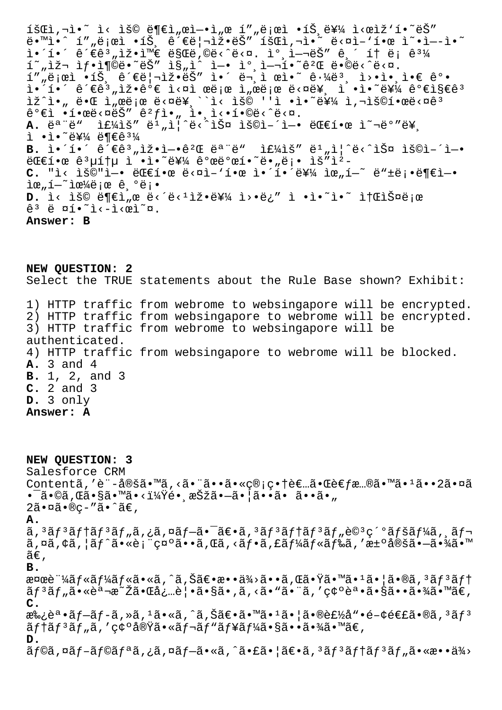$\tilde{\mathbf{1}}$ š $\mathbb{C}$ i,  $\tilde{\mathbb{C}}$  i< iš $\mathbb{C}$  iso  $\tilde{\mathbb{C}}$  iso  $\tilde{\mathbb{C}}$   $\mathbb{C}$  iso  $\tilde{\mathbb{C}}$  iso  $\tilde{\mathbb{C}}$  iso  $\tilde{\mathbb{C}}$  iso  $\tilde{\mathbb{C}}$  iso  $\tilde{\mathbb{C}}$  iso  $\tilde{\mathbb{C}}$  iso  $\tilde{\mathbb{C}}$  iso  $\tilde{\mathbb{C}}$  iso  $e^{\frac{1}{2} \cdot \ln \frac{1}{2}}$   $e^{\frac{1}{2} \cdot \ln \frac{1}{2}}$   $e^{\frac{1}{2} \cdot \ln \frac{1}{2}}$   $e^{\frac{1}{2} \cdot \ln \frac{1}{2}}$   $e^{\frac{1}{2} \cdot \ln \frac{1}{2}}$   $e^{\frac{1}{2} \cdot \ln \frac{1}{2}}$  $i \cdot i \cdot \hat{e}$  $\in$ ê $^3$ "ìž•ì $^m$  $\in$ ë $\hat{e}$ gë,©ë<^ë<¤. ì $^0$ ,ì $-\vec{e}$ Š"  $\hat{e}$ , í† ë¡ ê $^3$ ¼  $\tilde{\mathbb{1}}$ ~,lž $\mathbb{1}$ j•l¶©ë•~는 l§"l^ l—• lº,l— $\tilde{\mathbb{1}}$ •~é $^2$ Œ ë•©ë<^ë<¤. í""로ì •íŠ¸ 관리잕는 ì•´ 문ì œì•~ 근몸 ì>•앸ì•€ ê°• ì•´í•´ ê´€ê3,iž•ê°€ ì<¤ì œë¡œ ì,œë¡œ ë<¤ë¥, ì •ì•~를 가지ê3 ìž^ì•" 때 ì"œë¡œ ë<¤ë¥¸``ì< ìš© ''ì •ì•~를 ì,¬ìš©í•œë<¤êª ê°€ì •í•œë‹¤ëŠ″ 꺃ì•" ì•,ì‹•í•©ë‹^다. A. ë<sup>a "</sup>ë" 주ìš" ë<sup>1</sup>"ì|^ë<^스 ìš©ì-´ì-• 대한 ì~¬ë°"ë¥  $i \cdot i \cdot \tilde{e}$ ¥¼ ë¶€ê $^3$ ¼ B. ì•´í•´ ê´€ê3,iž•ì-•ê<sup>2</sup>Œ 모ë" if¼ìš" ë<sup>1</sup>,i¦^ë<^스 ìš©ì-´ì-• 대한 공통 ì •ì•˜ë¥¼ 개발하땄롕 ìš"ì² C. "ì< ìš©"ì-• 대한 ë<¤ì-'한 앴해를 위í-~ ë"±ë;•ë¶€ì-•  $\tilde{\mathbb{1}}$ œ" $\tilde{\mathbb{1}}$  $-$ ~ $\tilde{\mathbb{1}}$ œ $\frac{1}{4}$ ë;œ ê $\tilde{\mathbb{e}}$ ;• **D.** ì< ìš© ë¶€ì"œ ë<´ë<<sup>1</sup>잕를 ì>•ë¿″ ì •ì•~ì•~ 소스로  $\hat{e}^3$  ë  $\varpi$ í•̃i<-i< $\varpi$ i $\varpi$ . **Answer: B**

**NEW QUESTION: 2** Select the TRUE statements about the Rule Base shown? Exhibit: 1) HTTP traffic from webrome to websingapore will be encrypted. 2) HTTP traffic from websingapore to webrome will be encrypted. 3) HTTP traffic from webrome to websingapore will be authenticated. 4) HTTP traffic from websingapore to webrome will be blocked. **A.** 3 and 4 **B.** 1, 2, and 3 **C.** 2 and 3 **D.** 3 only **Answer: A**

**NEW QUESTION: 3** Salesforce CRM Contentã,'è¨-定ã•™ã,<㕨ã••ã•«c®;c•†è€…㕌è€f慮㕙ã•1ã••2㕤ã •¯ã•©ã,Œã•§ã•™ã•<?镸択㕗㕦ã••ã• ã••ã•"  $2\tilde{a} \cdot \tilde{a} \cdot \tilde{b} \cdot \tilde{c}$ . **A.**  $\tilde{a}$ ,  $3\tilde{a}f$  $3\tilde{a}f$  $1\tilde{a}f$  $3\tilde{a}f$ <sub>"</sub> $\tilde{a}$ ,  $2\tilde{a}f$  $- \tilde{a}$  $- \tilde{a}$  $- \tilde{a}$  $- \tilde{a}$  $- \tilde{a}$  $- \tilde{a}$  $f$  $3\tilde{a}f$  $- \tilde{a}f$  $3\tilde{a}f$  $- \tilde{a}$  $- \tilde{a}$  $- \tilde{a}$  $- \tilde{a}$  $- \tilde{a}$  $- \tilde{a}$  $- \tilde{a$  $\tilde{a}$ , $\alpha\tilde{a}$ , $\dot{\alpha}$ , $\tilde{a}$ , $\tilde{a}$ , $\tilde{a}$ , $\tilde{c}$   $\tilde{a}$ , $\tilde{c}$ , $\tilde{c}$ , $\tilde{c}$ , $\tilde{c}$ , $\tilde{c}$ , $\tilde{c}$ , $\tilde{c}$ , $\tilde{c}$ , $\tilde{c}$ , $\tilde{c}$ , $\tilde{c}$ , $\tilde{c}$ , $\tilde{c}$ , $\tilde{c}$ , $\tilde{c}$ , $\tilde{c}$ , $\tilde$  $\widetilde{a}\in$  , **B.** 検証ãf«ãf¼ãf«ã•«ã,^ã,Šã€•æ••ä¾>ã••ã,Œã•Ÿã•™ã•1㕦ã•®ã,3ãf3ãf† ãf<sup>3</sup>ãf"㕫説æ~Žã•Œå¿…覕ã•§ã•,ã,<ã•"㕨ã,′確誕㕧㕕㕾ã•™ã€, **C.**  $x_{\infty}$ ë $^a$ •ã $f$ -ã $f$ -ã,»ã, $^1$ ã•«ã,^ã,Šã $\in$ •ã• $^m$ ã• $^1$ ã• $|$ ã• $\mathbb{R}$ è $f$ ½å"•é $-\mathsf{c}$ é $\in$ £ã• $\mathbb{R}$ ã, $^3$ ã $f^3$  $\tilde{a}f$ tã $f$  $\tilde{a}f$ "ã, 'ç¢ $\circ$ 実ã•«ã $f$ ‹ $f$ " $\tilde{a}f$ ¥ã $f$ ¼ã•§ã••㕾ã•™ã $\in$ , **D.**  $\tilde{a}$ f©ã,¤ã $f$ -ã $f$ @ã $f$ ªã,¿ã,¤ã $f$ -ã•«ã,^㕣㕦ã $\epsilon$ •ã, $3$ ã $f$  $3$ ã $f$ †ã $f$  $3$ ã $f$ "ã•«æ••ä $\frac{3}{4}$ >